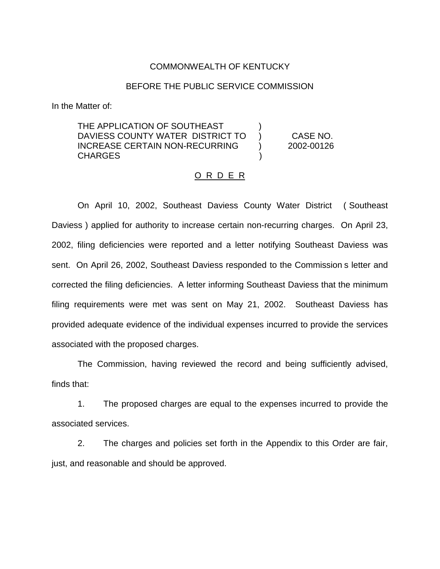### COMMONWEALTH OF KENTUCKY

#### BEFORE THE PUBLIC SERVICE COMMISSION

In the Matter of:

THE APPLICATION OF SOUTHEAST DAVIESS COUNTY WATER DISTRICT TO ) CASE NO. INCREASE CERTAIN NON-RECURRING ) 2002-00126 CHARGES )

### O R D E R

On April 10, 2002, Southeast Daviess County Water District ( Southeast Daviess ) applied for authority to increase certain non-recurring charges. On April 23, 2002, filing deficiencies were reported and a letter notifying Southeast Daviess was sent. On April 26, 2002, Southeast Daviess responded to the Commission s letter and corrected the filing deficiencies. A letter informing Southeast Daviess that the minimum filing requirements were met was sent on May 21, 2002. Southeast Daviess has provided adequate evidence of the individual expenses incurred to provide the services associated with the proposed charges.

The Commission, having reviewed the record and being sufficiently advised, finds that:

1. The proposed charges are equal to the expenses incurred to provide the associated services.

2. The charges and policies set forth in the Appendix to this Order are fair, just, and reasonable and should be approved.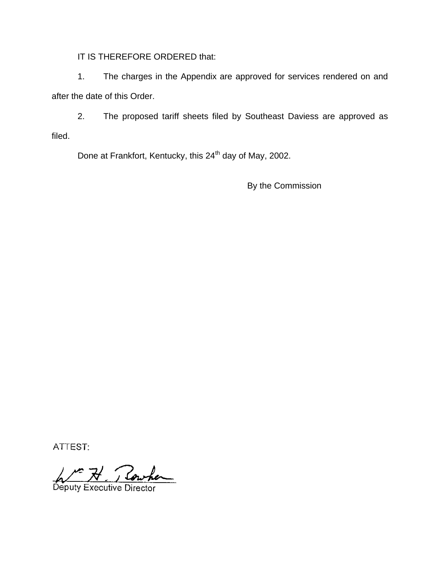IT IS THEREFORE ORDERED that:

1. The charges in the Appendix are approved for services rendered on and after the date of this Order.

2. The proposed tariff sheets filed by Southeast Daviess are approved as filed.

Done at Frankfort, Kentucky, this 24<sup>th</sup> day of May, 2002.

By the Commission

ATTEST:

Deputy Executive Director